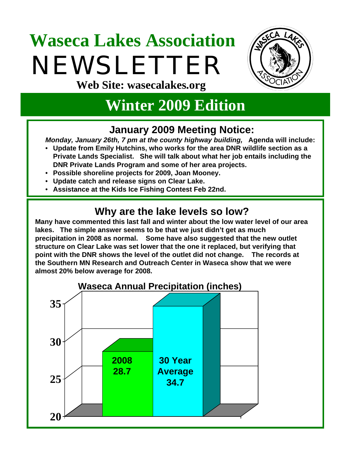# **Waseca Lakes Association**  NEWSLETTER **Web Site: wasecalakes.org**



# **Winter 2009 Edition**

#### **January 2009 Meeting Notice:**

*Monday, January 26th, 7 pm at the county highway building,* **Agenda will include:** 

- **Update from Emily Hutchins, who works for the area DNR wildlife section as a Private Lands Specialist. She will talk about what her job entails including the DNR Private Lands Program and some of her area projects.**
- **Possible shoreline projects for 2009, Joan Mooney.**
- **Update catch and release signs on Clear Lake.**
- **Assistance at the Kids Ice Fishing Contest Feb 22nd.**

#### **Why are the lake levels so low?**

**Many have commented this last fall and winter about the low water level of our area lakes. The simple answer seems to be that we just didn't get as much precipitation in 2008 as normal. Some have also suggested that the new outlet structure on Clear Lake was set lower that the one it replaced, but verifying that point with the DNR shows the level of the outlet did not change. The records at the Southern MN Research and Outreach Center in Waseca show that we were almost 20% below average for 2008.**